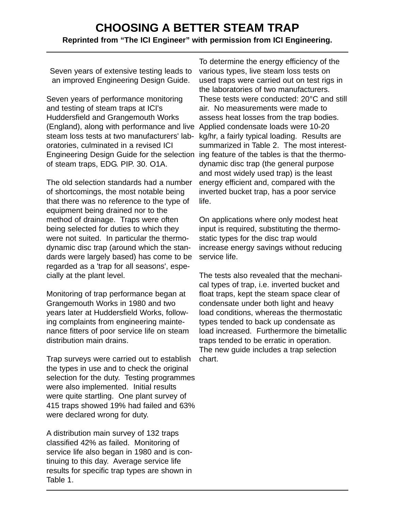# **CHOOSING A BETTER STEAM TRAP Reprinted from "The ICI Engineer" with permission from ICI Engineering.**

Seven years of extensive testing leads to an improved Engineering Design Guide.

Seven years of performance monitoring and testing of steam traps at ICI's Huddersfield and Grangemouth Works (England), along with performance and live Applied condensate loads were 10-20 steam loss tests at two manufacturers' laboratories, culminated in a revised ICI Engineering Design Guide for the selection ing feature of the tables is that the thermoof steam traps, EDG. PIP. 30. O1A.

The old selection standards had a number of shortcomings, the most notable being that there was no reference to the type of equipment being drained nor to the method of drainage. Traps were often being selected for duties to which they were not suited. In particular the thermodynamic disc trap (around which the standards were largely based) has come to be regarded as a 'trap for all seasons', especially at the plant level.

Monitoring of trap performance began at Grangemouth Works in 1980 and two years later at Huddersfield Works, following complaints from engineering maintenance fitters of poor service life on steam distribution main drains.

Trap surveys were carried out to establish the types in use and to check the original selection for the duty. Testing programmes were also implemented. Initial results were quite startling. One plant survey of 415 traps showed 19% had failed and 63% were declared wrong for duty.

A distribution main survey of 132 traps classified 42% as failed. Monitoring of service life also began in 1980 and is continuing to this day. Average service life results for specific trap types are shown in Table 1.

To determine the energy efficiency of the various types, live steam loss tests on used traps were carried out on test rigs in the laboratories of two manufacturers. These tests were conducted: 20°C and still air. No measurements were made to assess heat losses from the trap bodies. kg/hr, a fairly typical loading. Results are summarized in Table 2. The most interestdynamic disc trap (the general purpose and most widely used trap) is the least energy efficient and, compared with the inverted bucket trap, has a poor service life.

On applications where only modest heat input is required, substituting the thermostatic types for the disc trap would increase energy savings without reducing service life.

The tests also revealed that the mechanical types of trap, i.e. inverted bucket and float traps, kept the steam space clear of condensate under both light and heavy load conditions, whereas the thermostatic types tended to back up condensate as load increased. Furthermore the bimetallic traps tended to be erratic in operation. The new guide includes a trap selection chart.